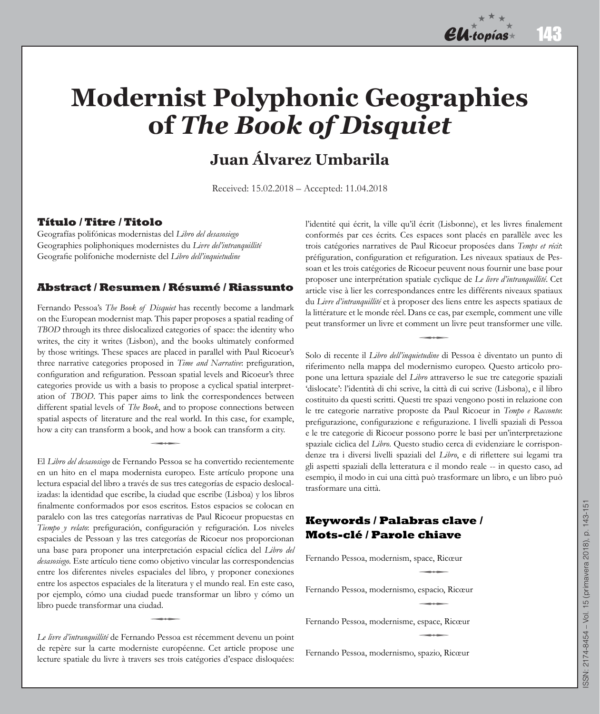# **Modernist Polyphonic Geographies of** *The Book of Disquiet*

## **Juan Álvarez Umbarila**

Received: 15.02.2018 – Accepted: 11.04.2018

#### **Título / Titre / Titolo**

Geografías polifónicas modernistas del *Libro del desasosiego* Geographies poliphoniques modernistes du *Livre del'intranquillité* Geografie polifoniche moderniste del *Libro dell'inquietudine*

#### **Abstract / Resumen / Résumé / Riassunto**

Fernando Pessoa's *The Book of Disquiet* has recently become a landmark on the European modernist map. This paper proposes a spatial reading of *TBOD* through its three dislocalized categories of space: the identity who writes, the city it writes (Lisbon), and the books ultimately conformed by those writings. These spaces are placed in parallel with Paul Ricoeur's three narrative categories proposed in *Time and Narrative*: prefiguration, configuration and refiguration. Pessoan spatial levels and Ricoeur's three categories provide us with a basis to propose a cyclical spatial interpretation of *TBOD*. This paper aims to link the correspondences between different spatial levels of *The Book*, and to propose connections between spatial aspects of literature and the real world. In this case, for example, how a city can transform a book, and how a book can transform a city. q

El *Libro del desasosiego* de Fernando Pessoa se ha convertido recientemente en un hito en el mapa modernista europeo. Este artículo propone una lectura espacial del libro a través de sus tres categorías de espacio deslocalizadas: la identidad que escribe, la ciudad que escribe (Lisboa) y los libros finalmente conformados por esos escritos. Estos espacios se colocan en paralelo con las tres categorías narrativas de Paul Ricoeur propuestas en *Tiempo y relato*: prefiguración, configuración y refiguración. Los niveles espaciales de Pessoan y las tres categorías de Ricoeur nos proporcionan una base para proponer una interpretación espacial cíclica del *Libro del desasosiego*. Este artículo tiene como objetivo vincular las correspondencias entre los diferentes niveles espaciales del libro, y proponer conexiones entre los aspectos espaciales de la literatura y el mundo real. En este caso, por ejemplo, cómo una ciudad puede transformar un libro y cómo un libro puede transformar una ciudad. q

*Le livre d'intranquillité* de Fernando Pessoa est récemment devenu un point de repère sur la carte moderniste européenne. Cet article propose une lecture spatiale du livre à travers ses trois catégories d'espace disloquées:

l'identité qui écrit, la ville qu'il écrit (Lisbonne), et les livres finalement conformés par ces écrits. Ces espaces sont placés en parallèle avec les trois catégories narratives de Paul Ricoeur proposées dans *Temps et récit*: préfiguration, configuration et refiguration. Les niveaux spatiaux de Pessoan et les trois catégories de Ricoeur peuvent nous fournir une base pour proposer une interprétation spatiale cyclique de *Le livre d'intranquillité*. Cet article vise à lier les correspondances entre les différents niveaux spatiaux du *Livre d'intranquillité* et à proposer des liens entre les aspects spatiaux de la littérature et le monde réel. Dans ce cas, par exemple, comment une ville peut transformer un livre et comment un livre peut transformer une ville.

Solo di recente il Libro dell'inquietudine di Pessoa è diventato un punto di riferimento nella mappa del modernismo europeo. Questo articolo propone una lettura spaziale del *Libro* attraverso le sue tre categorie spaziali 'dislocate': l'identità di chi scrive, la città di cui scrive (Lisbona), e il libro costituito da questi scritti. Questi tre spazi vengono posti in relazione con le tre categorie narrative proposte da Paul Ricoeur in *Tempo e Racconto*: prefigurazione, configurazione e refigurazione. I livelli spaziali di Pessoa e le tre categorie di Ricoeur possono porre le basi per un'interpretazione spaziale ciclica del *Libro*. Questo studio cerca di evidenziare le corrispondenze tra i diversi livelli spaziali del *Libro*, e di riflettere sui legami tra gli aspetti spaziali della letteratura e il mondo reale -- in questo caso, ad esempio, il modo in cui una città può trasformare un libro, e un libro può trasformare una città.

#### **Keywords / Palabras clave / Mots-clé / Parole chiave**

Fernando Pessoa, modernism, space, Ricœur

Fernando Pessoa, modernismo, espacio, Ricœur q

Fernando Pessoa, modernisme, espace, Ricœur

Fernando Pessoa, modernismo, spazio, Ricœur

143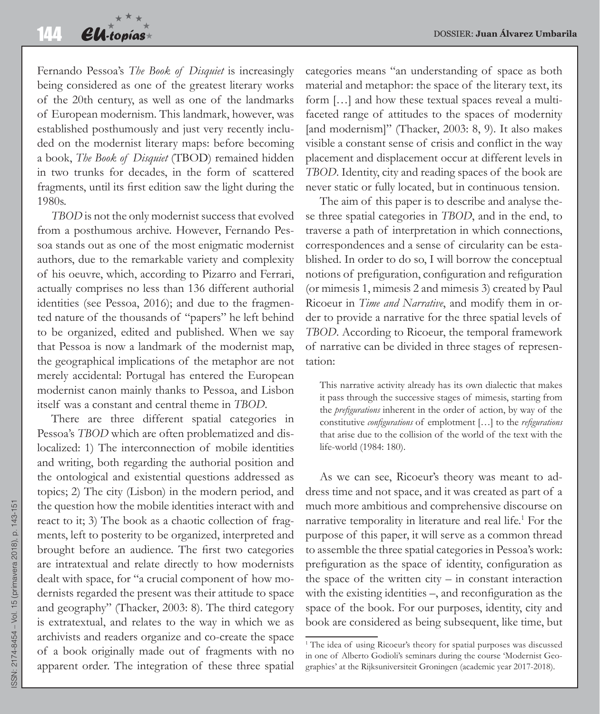Fernando Pessoa's *The Book of Disquiet* is increasingly being considered as one of the greatest literary works of the 20th century, as well as one of the landmarks of European modernism. This landmark, however, was established posthumously and just very recently included on the modernist literary maps: before becoming a book, *The Book of Disquiet* (TBOD) remained hidden in two trunks for decades, in the form of scattered fragments, until its first edition saw the light during the 1980s.

*TBOD* is not the only modernist success that evolved from a posthumous archive. However, Fernando Pessoa stands out as one of the most enigmatic modernist authors, due to the remarkable variety and complexity of his oeuvre, which, according to Pizarro and Ferrari, actually comprises no less than 136 different authorial identities (see Pessoa, 2016); and due to the fragmented nature of the thousands of "papers" he left behind to be organized, edited and published. When we say that Pessoa is now a landmark of the modernist map, the geographical implications of the metaphor are not merely accidental: Portugal has entered the European modernist canon mainly thanks to Pessoa, and Lisbon itself was a constant and central theme in *TBOD*.

There are three different spatial categories in Pessoa's *TBOD* which are often problematized and dislocalized: 1) The interconnection of mobile identities and writing, both regarding the authorial position and the ontological and existential questions addressed as topics; 2) The city (Lisbon) in the modern period, and the question how the mobile identities interact with and react to it; 3) The book as a chaotic collection of fragments, left to posterity to be organized, interpreted and brought before an audience. The first two categories are intratextual and relate directly to how modernists dealt with space, for "a crucial component of how modernists regarded the present was their attitude to space and geography" (Thacker, 2003: 8). The third category is extratextual, and relates to the way in which we as archivists and readers organize and co-create the space of a book originally made out of fragments with no apparent order. The integration of these three spatial categories means "an understanding of space as both material and metaphor: the space of the literary text, its form […] and how these textual spaces reveal a multifaceted range of attitudes to the spaces of modernity [and modernism]" (Thacker, 2003: 8, 9). It also makes visible a constant sense of crisis and conflict in the way placement and displacement occur at different levels in *TBOD*. Identity, city and reading spaces of the book are never static or fully located, but in continuous tension.

The aim of this paper is to describe and analyse these three spatial categories in *TBOD*, and in the end, to traverse a path of interpretation in which connections, correspondences and a sense of circularity can be established. In order to do so, I will borrow the conceptual notions of prefiguration, configuration and refiguration (or mimesis 1, mimesis 2 and mimesis 3) created by Paul Ricoeur in *Time and Narrative*, and modify them in order to provide a narrative for the three spatial levels of *TBOD*. According to Ricoeur, the temporal framework of narrative can be divided in three stages of representation:

This narrative activity already has its own dialectic that makes it pass through the successive stages of mimesis, starting from the *prefigurations* inherent in the order of action, by way of the constitutive *configurations* of emplotment […] to the *refigurations* that arise due to the collision of the world of the text with the life-world (1984: 180).

As we can see, Ricoeur's theory was meant to address time and not space, and it was created as part of a much more ambitious and comprehensive discourse on narrative temporality in literature and real life.<sup>1</sup> For the purpose of this paper, it will serve as a common thread to assemble the three spatial categories in Pessoa's work: prefiguration as the space of identity, configuration as the space of the written city  $-$  in constant interaction with the existing identities –, and reconfiguration as the space of the book. For our purposes, identity, city and book are considered as being subsequent, like time, but

<sup>&</sup>lt;sup>1</sup> The idea of using Ricoeur's theory for spatial purposes was discussed in one of Alberto Godioli's seminars during the course 'Modernist Geographies' at the Rijksuniversiteit Groningen (academic year 2017-2018).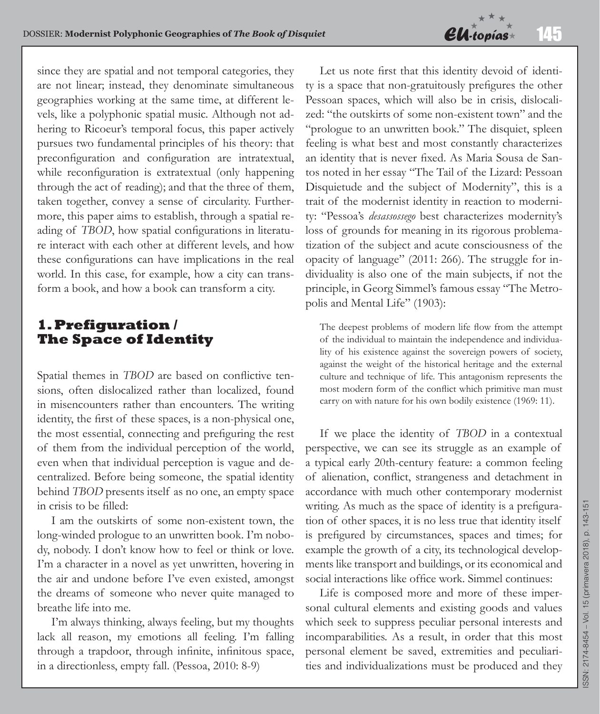

since they are spatial and not temporal categories, they are not linear; instead, they denominate simultaneous geographies working at the same time, at different levels, like a polyphonic spatial music. Although not adhering to Ricoeur's temporal focus, this paper actively pursues two fundamental principles of his theory: that preconfiguration and configuration are intratextual, while reconfiguration is extratextual (only happening through the act of reading); and that the three of them, taken together, convey a sense of circularity. Furthermore, this paper aims to establish, through a spatial reading of *TBOD*, how spatial configurations in literature interact with each other at different levels, and how these configurations can have implications in the real world. In this case, for example, how a city can transform a book, and how a book can transform a city.

## **1. Prefiguration / The Space of Identity**

Spatial themes in *TBOD* are based on conflictive tensions, often dislocalized rather than localized, found in misencounters rather than encounters. The writing identity, the first of these spaces, is a non-physical one, the most essential, connecting and prefiguring the rest of them from the individual perception of the world, even when that individual perception is vague and decentralized. Before being someone, the spatial identity behind *TBOD* presents itself as no one, an empty space in crisis to be filled:

I am the outskirts of some non-existent town, the long-winded prologue to an unwritten book. I'm nobody, nobody. I don't know how to feel or think or love. I'm a character in a novel as yet unwritten, hovering in the air and undone before I've even existed, amongst the dreams of someone who never quite managed to breathe life into me.

I'm always thinking, always feeling, but my thoughts lack all reason, my emotions all feeling. I'm falling through a trapdoor, through infinite, infinitous space, in a directionless, empty fall. (Pessoa, 2010: 8-9)

Let us note first that this identity devoid of identity is a space that non-gratuitously prefigures the other Pessoan spaces, which will also be in crisis, dislocalized: "the outskirts of some non-existent town" and the "prologue to an unwritten book." The disquiet, spleen feeling is what best and most constantly characterizes an identity that is never fixed. As Maria Sousa de Santos noted in her essay "The Tail of the Lizard: Pessoan Disquietude and the subject of Modernity", this is a trait of the modernist identity in reaction to modernity: "Pessoa's *desassossego* best characterizes modernity's loss of grounds for meaning in its rigorous problematization of the subject and acute consciousness of the opacity of language" (2011: 266). The struggle for individuality is also one of the main subjects, if not the principle, in Georg Simmel's famous essay "The Metropolis and Mental Life" (1903):

The deepest problems of modern life flow from the attempt of the individual to maintain the independence and individuality of his existence against the sovereign powers of society, against the weight of the historical heritage and the external culture and technique of life. This antagonism represents the most modern form of the conflict which primitive man must carry on with nature for his own bodily existence (1969: 11).

If we place the identity of *TBOD* in a contextual perspective, we can see its struggle as an example of a typical early 20th-century feature: a common feeling of alienation, conflict, strangeness and detachment in accordance with much other contemporary modernist writing. As much as the space of identity is a prefiguration of other spaces, it is no less true that identity itself is prefigured by circumstances, spaces and times; for example the growth of a city, its technological developments like transport and buildings, or its economical and social interactions like office work. Simmel continues:

Life is composed more and more of these impersonal cultural elements and existing goods and values which seek to suppress peculiar personal interests and incomparabilities. As a result, in order that this most personal element be saved, extremities and peculiarities and individualizations must be produced and they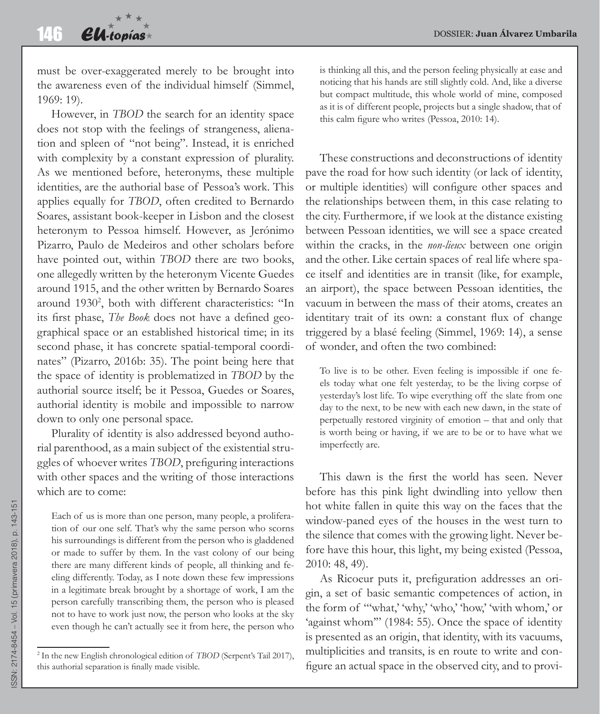must be over-exaggerated merely to be brought into the awareness even of the individual himself (Simmel, 1969: 19).

However, in *TBOD* the search for an identity space does not stop with the feelings of strangeness, alienation and spleen of "not being". Instead, it is enriched with complexity by a constant expression of plurality. As we mentioned before, heteronyms, these multiple identities, are the authorial base of Pessoa's work. This applies equally for *TBOD*, often credited to Bernardo Soares, assistant book-keeper in Lisbon and the closest heteronym to Pessoa himself. However, as Jerónimo Pizarro, Paulo de Medeiros and other scholars before have pointed out, within *TBOD* there are two books, one allegedly written by the heteronym Vicente Guedes around 1915, and the other written by Bernardo Soares around 1930<sup>2</sup>, both with different characteristics: "In its first phase, *The Book* does not have a defined geographical space or an established historical time; in its second phase, it has concrete spatial-temporal coordinates" (Pizarro, 2016b: 35). The point being here that the space of identity is problematized in *TBOD* by the authorial source itself; be it Pessoa, Guedes or Soares, authorial identity is mobile and impossible to narrow down to only one personal space.

Plurality of identity is also addressed beyond authorial parenthood, as a main subject of the existential struggles of whoever writes *TBOD*, prefiguring interactions with other spaces and the writing of those interactions which are to come:

Each of us is more than one person, many people, a proliferation of our one self. That's why the same person who scorns his surroundings is different from the person who is gladdened or made to suffer by them. In the vast colony of our being there are many different kinds of people, all thinking and feeling differently. Today, as I note down these few impressions in a legitimate break brought by a shortage of work, I am the person carefully transcribing them, the person who is pleased not to have to work just now, the person who looks at the sky even though he can't actually see it from here, the person who

is thinking all this, and the person feeling physically at ease and noticing that his hands are still slightly cold. And, like a diverse but compact multitude, this whole world of mine, composed as it is of different people, projects but a single shadow, that of this calm figure who writes (Pessoa, 2010: 14).

These constructions and deconstructions of identity pave the road for how such identity (or lack of identity, or multiple identities) will configure other spaces and the relationships between them, in this case relating to the city. Furthermore, if we look at the distance existing between Pessoan identities, we will see a space created within the cracks, in the *non-lieux* between one origin and the other. Like certain spaces of real life where space itself and identities are in transit (like, for example, an airport), the space between Pessoan identities, the vacuum in between the mass of their atoms, creates an identitary trait of its own: a constant flux of change triggered by a blasé feeling (Simmel, 1969: 14), a sense of wonder, and often the two combined:

To live is to be other. Even feeling is impossible if one feels today what one felt yesterday, to be the living corpse of yesterday's lost life. To wipe everything off the slate from one day to the next, to be new with each new dawn, in the state of perpetually restored virginity of emotion – that and only that is worth being or having, if we are to be or to have what we imperfectly are.

This dawn is the first the world has seen. Never before has this pink light dwindling into yellow then hot white fallen in quite this way on the faces that the window-paned eyes of the houses in the west turn to the silence that comes with the growing light. Never before have this hour, this light, my being existed (Pessoa, 2010: 48, 49).

As Ricoeur puts it, prefiguration addresses an origin, a set of basic semantic competences of action, in the form of "'what,' 'why,' 'who,' 'how,' 'with whom,' or 'against whom'" (1984: 55). Once the space of identity is presented as an origin, that identity, with its vacuums, multiplicities and transits, is en route to write and configure an actual space in the observed city, and to provi-

<sup>2</sup> In the new English chronological edition of *TBOD* (Serpent's Tail 2017), this authorial separation is finally made visible.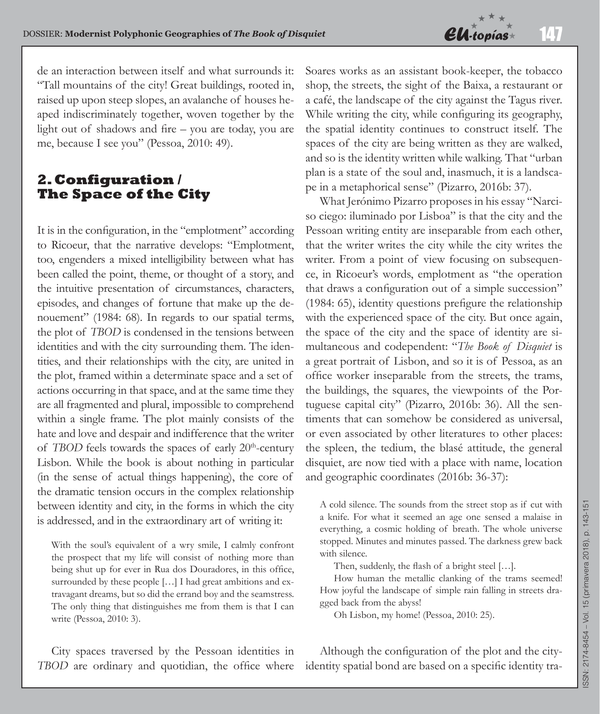

de an interaction between itself and what surrounds it: "Tall mountains of the city! Great buildings, rooted in, raised up upon steep slopes, an avalanche of houses heaped indiscriminately together, woven together by the light out of shadows and fire – you are today, you are me, because I see you" (Pessoa, 2010: 49).

#### **2. Configuration / The Space of the City**

It is in the configuration, in the "emplotment" according to Ricoeur, that the narrative develops: "Emplotment, too, engenders a mixed intelligibility between what has been called the point, theme, or thought of a story, and the intuitive presentation of circumstances, characters, episodes, and changes of fortune that make up the denouement" (1984: 68). In regards to our spatial terms, the plot of *TBOD* is condensed in the tensions between identities and with the city surrounding them. The identities, and their relationships with the city, are united in the plot, framed within a determinate space and a set of actions occurring in that space, and at the same time they are all fragmented and plural, impossible to comprehend within a single frame. The plot mainly consists of the hate and love and despair and indifference that the writer of *TBOD* feels towards the spaces of early 20<sup>th</sup>-century Lisbon. While the book is about nothing in particular (in the sense of actual things happening), the core of the dramatic tension occurs in the complex relationship between identity and city, in the forms in which the city is addressed, and in the extraordinary art of writing it:

With the soul's equivalent of a wry smile, I calmly confront the prospect that my life will consist of nothing more than being shut up for ever in Rua dos Douradores, in this office, surrounded by these people [...] I had great ambitions and extravagant dreams, but so did the errand boy and the seamstress. The only thing that distinguishes me from them is that I can write (Pessoa, 2010: 3).

City spaces traversed by the Pessoan identities in *TBOD* are ordinary and quotidian, the office where Soares works as an assistant book-keeper, the tobacco shop, the streets, the sight of the Baixa, a restaurant or a café, the landscape of the city against the Tagus river. While writing the city, while configuring its geography, the spatial identity continues to construct itself. The spaces of the city are being written as they are walked, and so is the identity written while walking. That "urban plan is a state of the soul and, inasmuch, it is a landscape in a metaphorical sense" (Pizarro, 2016b: 37).

What Jerónimo Pizarro proposes in his essay "Narciso ciego: iluminado por Lisboa" is that the city and the Pessoan writing entity are inseparable from each other, that the writer writes the city while the city writes the writer. From a point of view focusing on subsequence, in Ricoeur's words, emplotment as "the operation that draws a configuration out of a simple succession" (1984: 65), identity questions prefigure the relationship with the experienced space of the city. But once again, the space of the city and the space of identity are simultaneous and codependent: "*The Book of Disquiet* is a great portrait of Lisbon, and so it is of Pessoa, as an office worker inseparable from the streets, the trams, the buildings, the squares, the viewpoints of the Portuguese capital city" (Pizarro, 2016b: 36). All the sentiments that can somehow be considered as universal, or even associated by other literatures to other places: the spleen, the tedium, the blasé attitude, the general disquiet, are now tied with a place with name, location and geographic coordinates (2016b: 36-37):

A cold silence. The sounds from the street stop as if cut with a knife. For what it seemed an age one sensed a malaise in everything, a cosmic holding of breath. The whole universe stopped. Minutes and minutes passed. The darkness grew back with silence.

Then, suddenly, the flash of a bright steel […].

How human the metallic clanking of the trams seemed! How joyful the landscape of simple rain falling in streets dragged back from the abyss!

Oh Lisbon, my home! (Pessoa, 2010: 25).

Although the configuration of the plot and the cityidentity spatial bond are based on a specific identity tra-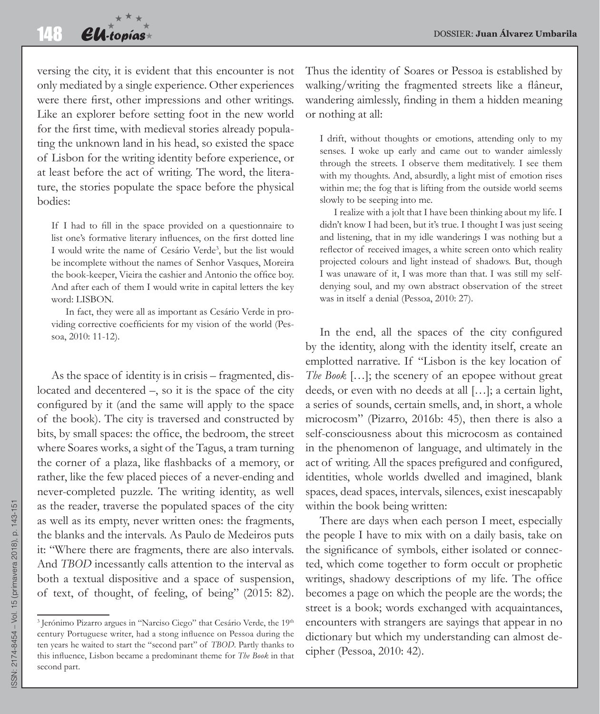versing the city, it is evident that this encounter is not only mediated by a single experience. Other experiences were there first, other impressions and other writings. Like an explorer before setting foot in the new world for the first time, with medieval stories already populating the unknown land in his head, so existed the space of Lisbon for the writing identity before experience, or at least before the act of writing. The word, the literature, the stories populate the space before the physical bodies:

If I had to fill in the space provided on a questionnaire to list one's formative literary influences, on the first dotted line I would write the name of Cesário Verde<sup>3</sup>, but the list would be incomplete without the names of Senhor Vasques, Moreira the book-keeper, Vieira the cashier and Antonio the office boy. And after each of them I would write in capital letters the key word: LISBON.

In fact, they were all as important as Cesário Verde in providing corrective coefficients for my vision of the world (Pessoa, 2010: 11-12).

As the space of identity is in crisis – fragmented, dislocated and decentered –, so it is the space of the city configured by it (and the same will apply to the space of the book). The city is traversed and constructed by bits, by small spaces: the office, the bedroom, the street where Soares works, a sight of the Tagus, a tram turning the corner of a plaza, like flashbacks of a memory, or rather, like the few placed pieces of a never-ending and never-completed puzzle. The writing identity, as well as the reader, traverse the populated spaces of the city as well as its empty, never written ones: the fragments, the blanks and the intervals. As Paulo de Medeiros puts it: "Where there are fragments, there are also intervals. And *TBOD* incessantly calls attention to the interval as both a textual dispositive and a space of suspension, of text, of thought, of feeling, of being" (2015: 82).

Thus the identity of Soares or Pessoa is established by walking/writing the fragmented streets like a flâneur, wandering aimlessly, finding in them a hidden meaning or nothing at all:

I drift, without thoughts or emotions, attending only to my senses. I woke up early and came out to wander aimlessly through the streets. I observe them meditatively. I see them with my thoughts. And, absurdly, a light mist of emotion rises within me; the fog that is lifting from the outside world seems slowly to be seeping into me.

I realize with a jolt that I have been thinking about my life. I didn't know I had been, but it's true. I thought I was just seeing and listening, that in my idle wanderings I was nothing but a reflector of received images, a white screen onto which reality projected colours and light instead of shadows. But, though I was unaware of it, I was more than that. I was still my selfdenying soul, and my own abstract observation of the street was in itself a denial (Pessoa, 2010: 27).

In the end, all the spaces of the city configured by the identity, along with the identity itself, create an emplotted narrative. If "Lisbon is the key location of *The Book* […]; the scenery of an epopee without great deeds, or even with no deeds at all […]; a certain light, a series of sounds, certain smells, and, in short, a whole microcosm" (Pizarro, 2016b: 45), then there is also a self-consciousness about this microcosm as contained in the phenomenon of language, and ultimately in the act of writing. All the spaces prefigured and configured, identities, whole worlds dwelled and imagined, blank spaces, dead spaces, intervals, silences, exist inescapably within the book being written:

There are days when each person I meet, especially the people I have to mix with on a daily basis, take on the significance of symbols, either isolated or connected, which come together to form occult or prophetic writings, shadowy descriptions of my life. The office becomes a page on which the people are the words; the street is a book; words exchanged with acquaintances, encounters with strangers are sayings that appear in no dictionary but which my understanding can almost decipher (Pessoa, 2010: 42).

<sup>&</sup>lt;sup>3</sup> Jerónimo Pizarro argues in "Narciso Ciego" that Cesário Verde, the 19<sup>th</sup> century Portuguese writer, had a stong influence on Pessoa during the ten years he waited to start the "second part" of *TBOD*. Partly thanks to this influence, Lisbon became a predominant theme for *The Book* in that second part.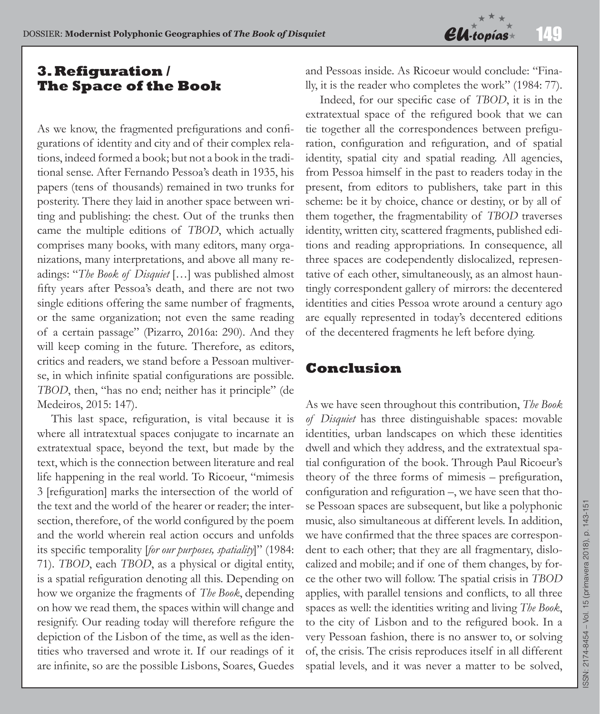

## **3. Refiguration / The Space of the Book**

As we know, the fragmented prefigurations and configurations of identity and city and of their complex relations, indeed formed a book; but not a book in the traditional sense. After Fernando Pessoa's death in 1935, his papers (tens of thousands) remained in two trunks for posterity. There they laid in another space between writing and publishing: the chest. Out of the trunks then came the multiple editions of *TBOD*, which actually comprises many books, with many editors, many organizations, many interpretations, and above all many readings: "*The Book of Disquiet* […] was published almost fifty years after Pessoa's death, and there are not two single editions offering the same number of fragments, or the same organization; not even the same reading of a certain passage" (Pizarro, 2016a: 290). And they will keep coming in the future. Therefore, as editors, critics and readers, we stand before a Pessoan multiverse, in which infinite spatial configurations are possible. *TBOD*, then, "has no end; neither has it principle" (de Medeiros, 2015: 147).

This last space, refiguration, is vital because it is where all intratextual spaces conjugate to incarnate an extratextual space, beyond the text, but made by the text, which is the connection between literature and real life happening in the real world. To Ricoeur, "mimesis 3 [refiguration] marks the intersection of the world of the text and the world of the hearer or reader; the intersection, therefore, of the world configured by the poem and the world wherein real action occurs and unfolds its specific temporality [*for our purposes, spatiality*]" (1984: 71). *TBOD*, each *TBOD*, as a physical or digital entity, is a spatial refiguration denoting all this. Depending on how we organize the fragments of *The Book*, depending on how we read them, the spaces within will change and resignify. Our reading today will therefore refigure the depiction of the Lisbon of the time, as well as the identities who traversed and wrote it. If our readings of it are infinite, so are the possible Lisbons, Soares, Guedes

and Pessoas inside. As Ricoeur would conclude: "Finally, it is the reader who completes the work" (1984: 77).

Indeed, for our specific case of *TBOD*, it is in the extratextual space of the refigured book that we can tie together all the correspondences between prefiguration, configuration and refiguration, and of spatial identity, spatial city and spatial reading. All agencies, from Pessoa himself in the past to readers today in the present, from editors to publishers, take part in this scheme: be it by choice, chance or destiny, or by all of them together, the fragmentability of *TBOD* traverses identity, written city, scattered fragments, published editions and reading appropriations. In consequence, all three spaces are codependently dislocalized, representative of each other, simultaneously, as an almost hauntingly correspondent gallery of mirrors: the decentered identities and cities Pessoa wrote around a century ago are equally represented in today's decentered editions of the decentered fragments he left before dying.

## **Conclusion**

As we have seen throughout this contribution, *The Book of Disquiet* has three distinguishable spaces: movable identities, urban landscapes on which these identities dwell and which they address, and the extratextual spatial configuration of the book. Through Paul Ricoeur's theory of the three forms of mimesis – prefiguration, configuration and refiguration –, we have seen that those Pessoan spaces are subsequent, but like a polyphonic music, also simultaneous at different levels. In addition, we have confirmed that the three spaces are correspondent to each other; that they are all fragmentary, dislocalized and mobile; and if one of them changes, by force the other two will follow. The spatial crisis in *TBOD*  applies, with parallel tensions and conflicts, to all three spaces as well: the identities writing and living *The Book*, to the city of Lisbon and to the refigured book. In a very Pessoan fashion, there is no answer to, or solving of, the crisis. The crisis reproduces itself in all different spatial levels, and it was never a matter to be solved,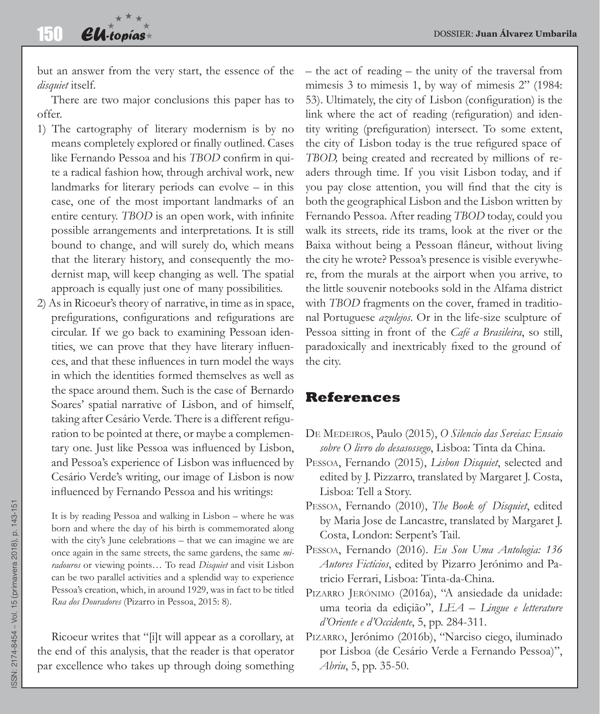but an answer from the very start, the essence of the *disquiet* itself.

There are two major conclusions this paper has to offer.

- 1) The cartography of literary modernism is by no means completely explored or finally outlined. Cases like Fernando Pessoa and his *TBOD* confirm in quite a radical fashion how, through archival work, new landmarks for literary periods can evolve – in this case, one of the most important landmarks of an entire century. *TBOD* is an open work, with infinite possible arrangements and interpretations. It is still bound to change, and will surely do, which means that the literary history, and consequently the modernist map, will keep changing as well. The spatial approach is equally just one of many possibilities.
- 2) As in Ricoeur's theory of narrative, in time as in space, prefigurations, configurations and refigurations are circular. If we go back to examining Pessoan identities, we can prove that they have literary influences, and that these influences in turn model the ways in which the identities formed themselves as well as the space around them. Such is the case of Bernardo Soares' spatial narrative of Lisbon, and of himself, taking after Cesário Verde. There is a different refiguration to be pointed at there, or maybe a complementary one. Just like Pessoa was influenced by Lisbon, and Pessoa's experience of Lisbon was influenced by Cesário Verde's writing, our image of Lisbon is now influenced by Fernando Pessoa and his writings:

It is by reading Pessoa and walking in Lisbon – where he was born and where the day of his birth is commemorated along with the city's June celebrations – that we can imagine we are once again in the same streets, the same gardens, the same *miradouros* or viewing points… To read *Disquiet* and visit Lisbon can be two parallel activities and a splendid way to experience Pessoa's creation, which, in around 1929, was in fact to be titled *Rua dos Douradores* (Pizarro in Pessoa, 2015: 8).

Ricoeur writes that "[i]t will appear as a corollary, at the end of this analysis, that the reader is that operator par excellence who takes up through doing something

– the act of reading – the unity of the traversal from mimesis 3 to mimesis 1, by way of mimesis 2" (1984: 53). Ultimately, the city of Lisbon (configuration) is the link where the act of reading (refiguration) and identity writing (prefiguration) intersect. To some extent, the city of Lisbon today is the true refigured space of *TBOD*, being created and recreated by millions of readers through time. If you visit Lisbon today, and if you pay close attention, you will find that the city is both the geographical Lisbon and the Lisbon written by Fernando Pessoa. After reading *TBOD* today, could you walk its streets, ride its trams, look at the river or the Baixa without being a Pessoan flâneur, without living the city he wrote? Pessoa's presence is visible everywhere, from the murals at the airport when you arrive, to the little souvenir notebooks sold in the Alfama district with *TBOD* fragments on the cover, framed in traditional Portuguese *azulejos*. Or in the life-size sculpture of Pessoa sitting in front of the *Café a Brasileira*, so still, paradoxically and inextricably fixed to the ground of the city.

## **References**

- De Medeiros, Paulo (2015), *O Silencio das Sereias: Ensaio sobre O livro do desasossego*, Lisboa: Tinta da China.
- Pessoa, Fernando (2015), *Lisbon Disquiet*, selected and edited by J. Pizzarro, translated by Margaret J. Costa, Lisboa: Tell a Story.
- Pessoa, Fernando (2010), *The Book of Disquiet*, edited by Maria Jose de Lancastre, translated by Margaret J. Costa, London: Serpent's Tail.
- Pessoa, Fernando (2016). *Eu Sou Uma Antologia: 136 Autores Fictícios*, edited by Pizarro Jerónimo and Patricio Ferrari, Lisboa: Tinta-da-China.
- PIZARRO JERÓNIMO (2016a), "A ansiedade da unidade: uma teoria da ediçião", *LEA – Lingue e letterature d'Oriente e d'Occidente*, 5, pp. 284-311.
- PIZARRO, Jerónimo (2016b), "Narciso ciego, iluminado por Lisboa (de Cesário Verde a Fernando Pessoa)", *Abriu*, 5, pp. 35-50.